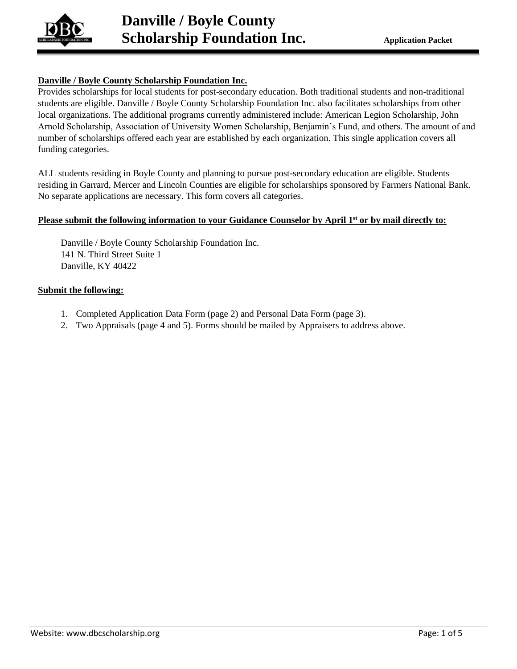

## **Danville / Boyle County Scholarship Foundation Inc.**

Provides scholarships for local students for post-secondary education. Both traditional students and non-traditional students are eligible. Danville / Boyle County Scholarship Foundation Inc. also facilitates scholarships from other local organizations. The additional programs currently administered include: American Legion Scholarship, John Arnold Scholarship, Association of University Women Scholarship, Benjamin's Fund, and others. The amount of and number of scholarships offered each year are established by each organization. This single application covers all funding categories.

ALL students residing in Boyle County and planning to pursue post-secondary education are eligible. Students residing in Garrard, Mercer and Lincoln Counties are eligible for scholarships sponsored by Farmers National Bank. No separate applications are necessary. This form covers all categories.

## **Please submit the following information to your Guidance Counselor by April 1st or by mail directly to:**

Danville / Boyle County Scholarship Foundation Inc. 141 N. Third Street Suite 1 Danville, KY 40422

## **Submit the following:**

- 1. Completed Application Data Form (page 2) and Personal Data Form (page 3).
- 2. Two Appraisals (page 4 and 5). Forms should be mailed by Appraisers to address above.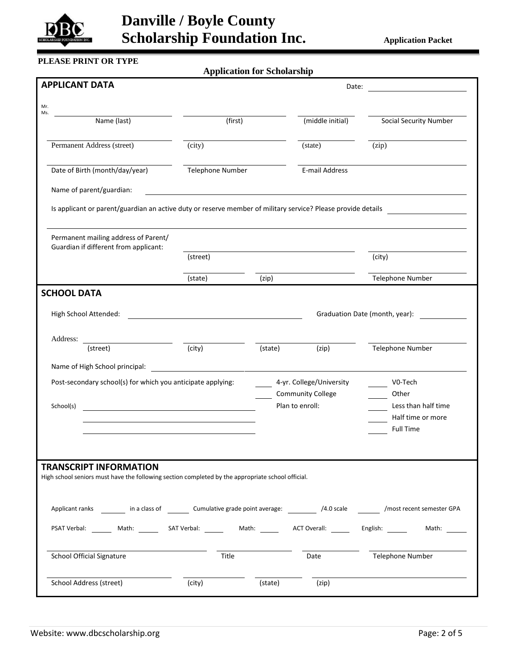

# **Danville / Boyle County Scholarship Foundation Inc.** Application Packet

## **PLEASE PRINT OR TYPE**

**Application for Scholarship**

| <b>APPLICANT DATA</b>                                                                                                                        |                                                                                                                      |         | Date:                                       |                                 |
|----------------------------------------------------------------------------------------------------------------------------------------------|----------------------------------------------------------------------------------------------------------------------|---------|---------------------------------------------|---------------------------------|
| Mr.                                                                                                                                          |                                                                                                                      |         |                                             |                                 |
| Ms.<br>Name (last)                                                                                                                           | (first)                                                                                                              |         | (middle initial)                            | <b>Social Security Number</b>   |
| Permanent Address (street)                                                                                                                   | (city)                                                                                                               |         | (state)                                     | (zip)                           |
| Date of Birth (month/day/year)                                                                                                               | Telephone Number                                                                                                     |         | E-mail Address                              |                                 |
| Name of parent/guardian:                                                                                                                     | <u> 1980 - Johann Barn, mars ann an t-Amhain Aonaich an t-Aonaich an t-Aonaich ann an t-Aonaich ann an t-Aonaich</u> |         |                                             |                                 |
| Is applicant or parent/guardian an active duty or reserve member of military service? Please provide details                                 |                                                                                                                      |         |                                             | <u> 1990 - Jan Alexandria (</u> |
| Permanent mailing address of Parent/<br>Guardian if different from applicant:                                                                |                                                                                                                      |         |                                             |                                 |
|                                                                                                                                              | (street)                                                                                                             |         |                                             | (city)                          |
|                                                                                                                                              | (state)                                                                                                              | (zip)   |                                             | Telephone Number                |
| <b>SCHOOL DATA</b>                                                                                                                           |                                                                                                                      |         |                                             |                                 |
| High School Attended:                                                                                                                        |                                                                                                                      |         |                                             | Graduation Date (month, year):  |
| Address:<br><u> 1980 - Andrea State Barbara, poeta esta</u><br>(street)                                                                      | $\overline{\text{(city)}}$                                                                                           | (state) | (zip)                                       | Telephone Number                |
| Name of High School principal:                                                                                                               |                                                                                                                      |         |                                             |                                 |
| Post-secondary school(s) for which you anticipate applying:                                                                                  |                                                                                                                      |         | 4-yr. College/University                    | V0-Tech                         |
| School(s)                                                                                                                                    |                                                                                                                      |         | <b>Community College</b><br>Plan to enroll: | Other<br>Less than half time    |
|                                                                                                                                              |                                                                                                                      |         |                                             | Half time or more               |
|                                                                                                                                              |                                                                                                                      |         |                                             | <b>Full Time</b>                |
|                                                                                                                                              |                                                                                                                      |         |                                             |                                 |
| <b>TRANSCRIPT INFORMATION</b><br>High school seniors must have the following section completed by the appropriate school official.           |                                                                                                                      |         |                                             |                                 |
|                                                                                                                                              |                                                                                                                      |         |                                             |                                 |
| Applicant ranks _________ in a class of _________ Cumulative grade point average: ___________ /4.0 scale _________ /most recent semester GPA |                                                                                                                      |         |                                             |                                 |
| PSAT Verbal: ________ Math: _________ SAT Verbal: ____________ Math: __________ ACT Overall: _______ English: ______                         |                                                                                                                      |         |                                             | Math:                           |
| <b>School Official Signature</b>                                                                                                             | Title                                                                                                                |         | Date                                        | <b>Telephone Number</b>         |
| School Address (street)                                                                                                                      | (city)                                                                                                               | (state) | (zip)                                       |                                 |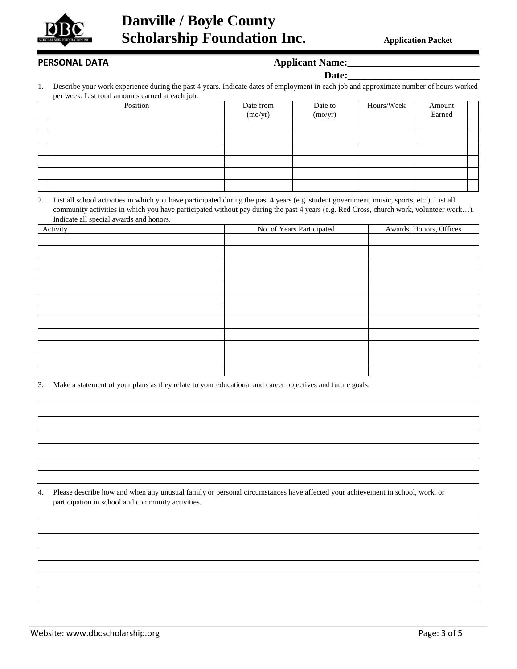

## PERSONAL DATA *Applicant Name:*

| l)o1<br>.ta•<br>г. |  |
|--------------------|--|
|                    |  |

1. Describe your work experience during the past 4 years. Indicate dates of employment in each job and approximate number of hours worked per week. List total amounts earned at each job.

| $\cdot$  |           |         |            |        |  |
|----------|-----------|---------|------------|--------|--|
| Position | Date from | Date to | Hours/Week | Amount |  |
|          | (mo/yr)   | (mo/yr) |            | Earned |  |
|          |           |         |            |        |  |
|          |           |         |            |        |  |
|          |           |         |            |        |  |
|          |           |         |            |        |  |
|          |           |         |            |        |  |
|          |           |         |            |        |  |

2. List all school activities in which you have participated during the past 4 years (e.g. student government, music, sports, etc.). List all community activities in which you have participated without pay during the past 4 years (e.g. Red Cross, church work, volunteer work…). Indicate all special awards and honors.

| Activity | No. of Years Participated | Awards, Honors, Offices |
|----------|---------------------------|-------------------------|
|          |                           |                         |
|          |                           |                         |
|          |                           |                         |
|          |                           |                         |
|          |                           |                         |
|          |                           |                         |
|          |                           |                         |
|          |                           |                         |
|          |                           |                         |
|          |                           |                         |
|          |                           |                         |
|          |                           |                         |

3. Make a statement of your plans as they relate to your educational and career objectives and future goals.

4. Please describe how and when any unusual family or personal circumstances have affected your achievement in school, work, or participation in school and community activities.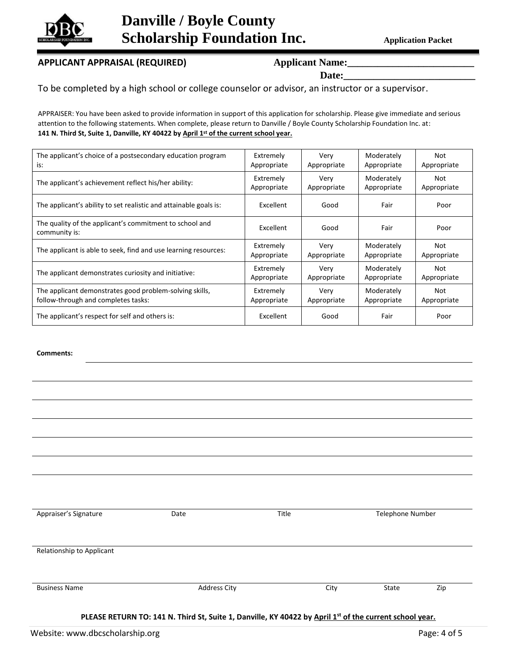

# **Danville / Boyle County Scholarship Foundation Inc. Application Packet**

## APPLICANT APPRAISAL (REQUIRED) **Applicant Name:**

Date:

To be completed by a high school or college counselor or advisor, an instructor or a supervisor.

APPRAISER: You have been asked to provide information in support of this application for scholarship. Please give immediate and serious attention to the following statements. When complete, please return to Danville / Boyle County Scholarship Foundation Inc. at: **141 N. Third St, Suite 1, Danville, KY 40422 by April 1st of the current school year.**

| The applicant's choice of a postsecondary education program              | Extremely   | Very        | Moderately  | Not         |
|--------------------------------------------------------------------------|-------------|-------------|-------------|-------------|
| is:                                                                      | Appropriate | Appropriate | Appropriate | Appropriate |
| The applicant's achievement reflect his/her ability:                     | Extremely   | Verv        | Moderately  | Not         |
|                                                                          | Appropriate | Appropriate | Appropriate | Appropriate |
| The applicant's ability to set realistic and attainable goals is:        | Excellent   | Good        | Fair        | Poor        |
| The quality of the applicant's commitment to school and<br>community is: | Excellent   | Good        | Fair        | Poor        |
| The applicant is able to seek, find and use learning resources:          | Extremely   | Very        | Moderately  | Not         |
|                                                                          | Appropriate | Appropriate | Appropriate | Appropriate |
| The applicant demonstrates curiosity and initiative:                     | Extremely   | Very        | Moderately  | Not         |
|                                                                          | Appropriate | Appropriate | Appropriate | Appropriate |
| The applicant demonstrates good problem-solving skills,                  | Extremely   | Very        | Moderately  | Not         |
| follow-through and completes tasks:                                      | Appropriate | Appropriate | Appropriate | Appropriate |
| The applicant's respect for self and others is:                          | Excellent   | Good        | Fair        | Poor        |

## **Comments:**

| Appraiser's Signature     | Date                                                                                                    | Title | Telephone Number |     |
|---------------------------|---------------------------------------------------------------------------------------------------------|-------|------------------|-----|
| Relationship to Applicant |                                                                                                         |       |                  |     |
|                           | <b>Address City</b>                                                                                     | City  | State            | Zip |
| <b>Business Name</b>      | PLEASE RETURN TO: 141 N. Third St, Suite 1, Danville, KY 40422 by April 1st of the current school year. |       |                  |     |